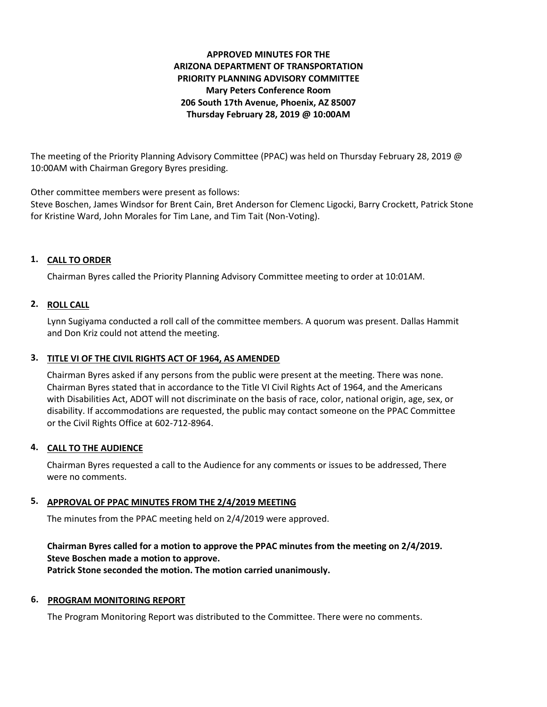# **APPROVED MINUTES FOR THE ARIZONA DEPARTMENT OF TRANSPORTATION PRIORITY PLANNING ADVISORY COMMITTEE Mary Peters Conference Room 206 South 17th Avenue, Phoenix, AZ 85007 Thursday February 28, 2019 @ 10:00AM**

The meeting of the Priority Planning Advisory Committee (PPAC) was held on Thursday February 28, 2019 @ 10:00AM with Chairman Gregory Byres presiding.

Other committee members were present as follows:

Steve Boschen, James Windsor for Brent Cain, Bret Anderson for Clemenc Ligocki, Barry Crockett, Patrick Stone for Kristine Ward, John Morales for Tim Lane, and Tim Tait (Non-Voting).

## **1. CALL TO ORDER**

Chairman Byres called the Priority Planning Advisory Committee meeting to order at 10:01AM.

## **2. ROLL CALL**

Lynn Sugiyama conducted a roll call of the committee members. A quorum was present. Dallas Hammit and Don Kriz could not attend the meeting.

### **3. TITLE VI OF THE CIVIL RIGHTS ACT OF 1964, AS AMENDED**

Chairman Byres asked if any persons from the public were present at the meeting. There was none. Chairman Byres stated that in accordance to the Title VI Civil Rights Act of 1964, and the Americans with Disabilities Act, ADOT will not discriminate on the basis of race, color, national origin, age, sex, or disability. If accommodations are requested, the public may contact someone on the PPAC Committee or the Civil Rights Office at 602-712-8964.

#### **4. CALL TO THE AUDIENCE**

Chairman Byres requested a call to the Audience for any comments or issues to be addressed, There were no comments.

#### **5. APPROVAL OF PPAC MINUTES FROM THE 2/4/2019 MEETING**

The minutes from the PPAC meeting held on 2/4/2019 were approved.

**Chairman Byres called for a motion to approve the PPAC minutes from the meeting on 2/4/2019. Steve Boschen made a motion to approve. Patrick Stone seconded the motion. The motion carried unanimously.**

#### **6. PROGRAM MONITORING REPORT**

The Program Monitoring Report was distributed to the Committee. There were no comments.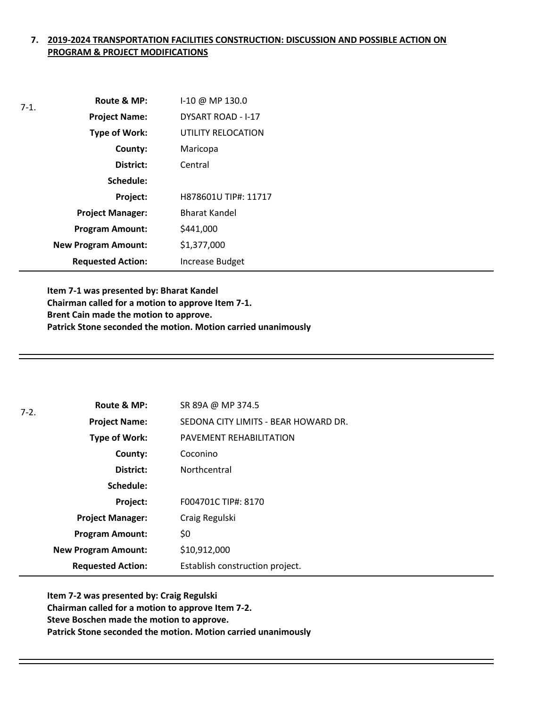# **7. 2019-2024 TRANSPORTATION FACILITIES CONSTRUCTION: DISCUSSION AND POSSIBLE ACTION ON PROGRAM & PROJECT MODIFICATIONS**

| $7-1.$ | Route & MP:                | I-10 @ MP 130.0      |
|--------|----------------------------|----------------------|
|        | <b>Project Name:</b>       | DYSART ROAD - I-17   |
|        | <b>Type of Work:</b>       | UTILITY RELOCATION   |
|        | County:                    | Maricopa             |
|        | District:                  | Central              |
|        | Schedule:                  |                      |
|        | Project:                   | H878601U TIP#: 11717 |
|        | <b>Project Manager:</b>    | <b>Bharat Kandel</b> |
|        | <b>Program Amount:</b>     | \$441,000            |
|        | <b>New Program Amount:</b> | \$1,377,000          |
|        | <b>Requested Action:</b>   | Increase Budget      |

**Item 7-1 was presented by: Bharat Kandel Chairman called for a motion to approve Item 7-1. Brent Cain made the motion to approve. Patrick Stone seconded the motion. Motion carried unanimously**

| $7-2.$ | Route & MP:                | SR 89A @ MP 374.5                    |
|--------|----------------------------|--------------------------------------|
|        | <b>Project Name:</b>       | SEDONA CITY LIMITS - BEAR HOWARD DR. |
|        | <b>Type of Work:</b>       | PAVEMENT REHABILITATION              |
|        | County:                    | Coconino                             |
|        | District:                  | Northcentral                         |
|        | Schedule:                  |                                      |
|        | Project:                   | F004701C TIP#: 8170                  |
|        | <b>Project Manager:</b>    | Craig Regulski                       |
|        | <b>Program Amount:</b>     | \$0                                  |
|        | <b>New Program Amount:</b> | \$10,912,000                         |
|        | <b>Requested Action:</b>   | Establish construction project.      |

**Item 7-2 was presented by: Craig Regulski Chairman called for a motion to approve Item 7-2. Steve Boschen made the motion to approve. Patrick Stone seconded the motion. Motion carried unanimously**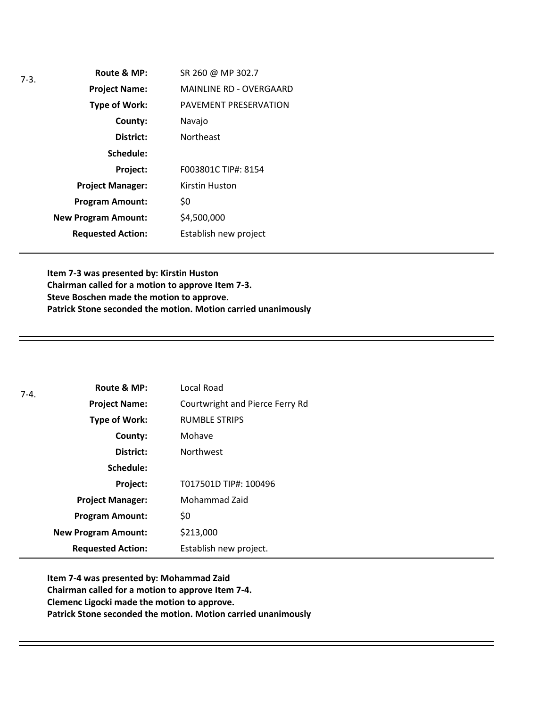| $7-3.$ | Route & MP:                | SR 260 @ MP 302.7              |
|--------|----------------------------|--------------------------------|
|        | <b>Project Name:</b>       | <b>MAINLINE RD - OVERGAARD</b> |
|        | Type of Work:              | PAVEMENT PRESERVATION          |
|        | County:                    | Navajo                         |
|        | District:                  | <b>Northeast</b>               |
|        | Schedule:                  |                                |
|        | Project:                   | F003801C TIP#: 8154            |
|        | <b>Project Manager:</b>    | Kirstin Huston                 |
|        | <b>Program Amount:</b>     | \$0                            |
|        | <b>New Program Amount:</b> | \$4,500,000                    |
|        | <b>Requested Action:</b>   | Establish new project          |

**Item 7-3 was presented by: Kirstin Huston Chairman called for a motion to approve Item 7-3. Steve Boschen made the motion to approve. Patrick Stone seconded the motion. Motion carried unanimously**

| $7 - 4.$ | Route & MP:                | Local Road                      |
|----------|----------------------------|---------------------------------|
|          | <b>Project Name:</b>       | Courtwright and Pierce Ferry Rd |
|          | Type of Work:              | <b>RUMBLE STRIPS</b>            |
|          | County:                    | Mohave                          |
|          | District:                  | <b>Northwest</b>                |
|          | Schedule:                  |                                 |
|          | Project:                   | T017501D TIP#: 100496           |
|          | <b>Project Manager:</b>    | Mohammad Zaid                   |
|          | <b>Program Amount:</b>     | \$0                             |
|          | <b>New Program Amount:</b> | \$213,000                       |
|          | <b>Requested Action:</b>   | Establish new project.          |

**Item 7-4 was presented by: Mohammad Zaid Chairman called for a motion to approve Item 7-4. Clemenc Ligocki made the motion to approve. Patrick Stone seconded the motion. Motion carried unanimously**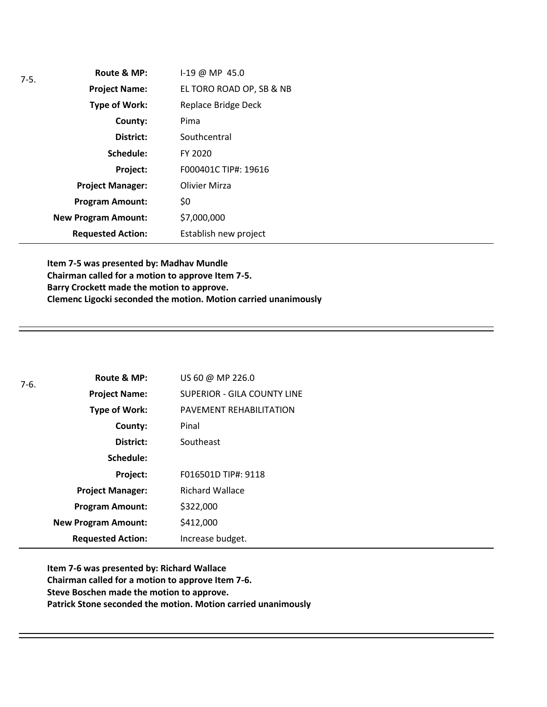| $7-5.$ | Route & MP:                | I-19 @ MP 45.0           |
|--------|----------------------------|--------------------------|
|        | <b>Project Name:</b>       | EL TORO ROAD OP, SB & NB |
|        | Type of Work:              | Replace Bridge Deck      |
|        | County:                    | Pima                     |
|        | District:                  | Southcentral             |
|        | Schedule:                  | FY 2020                  |
|        | Project:                   | F000401C TIP#: 19616     |
|        | <b>Project Manager:</b>    | <b>Olivier Mirza</b>     |
|        | <b>Program Amount:</b>     | \$0                      |
|        | <b>New Program Amount:</b> | \$7,000,000              |
|        | <b>Requested Action:</b>   | Establish new project    |

**Item 7-5 was presented by: Madhav Mundle Chairman called for a motion to approve Item 7-5. Barry Crockett made the motion to approve. Clemenc Ligocki seconded the motion. Motion carried unanimously**

| $7-6.$ | Route & MP:                | US 60 @ MP 226.0                   |
|--------|----------------------------|------------------------------------|
|        | <b>Project Name:</b>       | <b>SUPERIOR - GILA COUNTY LINE</b> |
|        | Type of Work:              | PAVEMENT REHABILITATION            |
|        | County:                    | Pinal                              |
|        | District:                  | Southeast                          |
|        | Schedule:                  |                                    |
|        | <b>Project:</b>            | F016501D TIP#: 9118                |
|        | <b>Project Manager:</b>    | <b>Richard Wallace</b>             |
|        | <b>Program Amount:</b>     | \$322,000                          |
|        | <b>New Program Amount:</b> | \$412,000                          |
|        | <b>Requested Action:</b>   | Increase budget.                   |

**Item 7-6 was presented by: Richard Wallace Chairman called for a motion to approve Item 7-6. Steve Boschen made the motion to approve. Patrick Stone seconded the motion. Motion carried unanimously**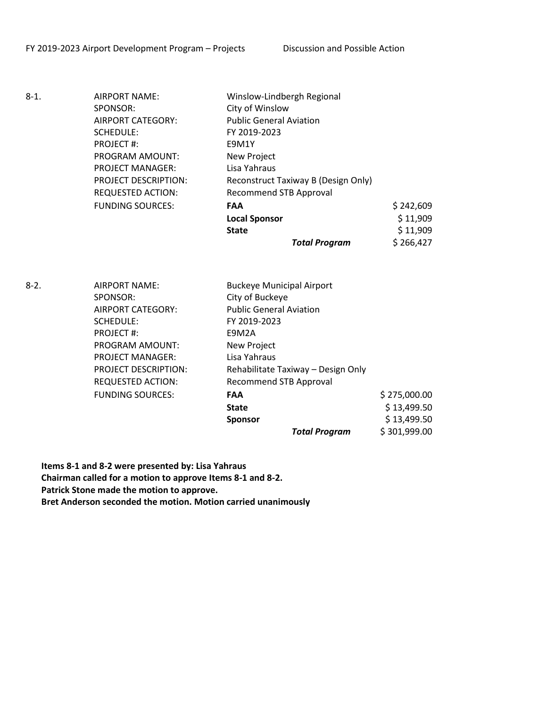| $8-1.$ | AIRPORT NAME:               | Winslow-Lindbergh Regional          |           |
|--------|-----------------------------|-------------------------------------|-----------|
|        | SPONSOR:                    | City of Winslow                     |           |
|        | AIRPORT CATEGORY:           | <b>Public General Aviation</b>      |           |
|        | SCHEDULE:                   | FY 2019-2023                        |           |
|        | PROJECT#:                   | E9M1Y                               |           |
|        | PROGRAM AMOUNT:             | New Project                         |           |
|        | <b>PROJECT MANAGER:</b>     | Lisa Yahraus                        |           |
|        | <b>PROJECT DESCRIPTION:</b> | Reconstruct Taxiway B (Design Only) |           |
|        | <b>REQUESTED ACTION:</b>    | <b>Recommend STB Approval</b>       |           |
|        | <b>FUNDING SOURCES:</b>     | <b>FAA</b>                          | \$242,609 |
|        |                             | <b>Local Sponsor</b>                | \$11,909  |
|        |                             | <b>State</b>                        | \$11,909  |
|        |                             | <b>Total Program</b>                | \$266,427 |
|        |                             |                                     |           |

8-2. AIRPORT NAME: Buckeye Municipal Airport SPONSOR: City of Buckeye AIRPORT CATEGORY: Public General Aviation SCHEDULE: FY 2019-2023 PROJECT #: E9M2A PROGRAM AMOUNT: New Project PROJECT MANAGER: Lisa Yahraus PROJECT DESCRIPTION: Rehabilitate Taxiway – Design Only REQUESTED ACTION: Recommend STB Approval FUNDING SOURCES: **FAA** \$ 275,000.00 **State**  $\begin{array}{ccc} 5 & 13,499.50 \end{array}$ **Sponsor**  $\begin{array}{ccc} \text{5} & 13,499.50 \end{array}$ *Total Program* \$ 301,999.00

**Items 8-1 and 8-2 were presented by: Lisa Yahraus Chairman called for a motion to approve Items 8-1 and 8-2. Patrick Stone made the motion to approve. Bret Anderson seconded the motion. Motion carried unanimously**